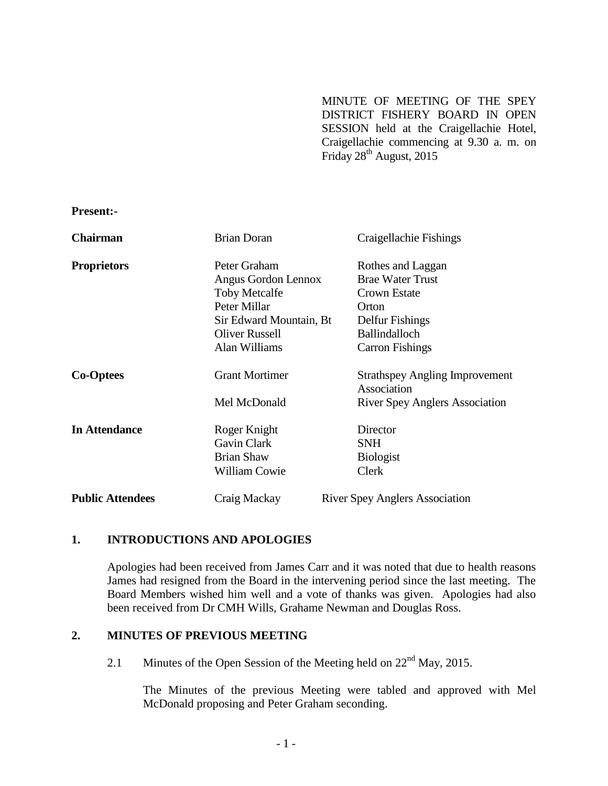MINUTE OF MEETING OF THE SPEY DISTRICT FISHERY BOARD IN OPEN SESSION held at the Craigellachie Hotel, Craigellachie commencing at 9.30 a. m. on Friday  $28<sup>th</sup>$  August, 2015

**Present:-**

| <b>Chairman</b>         | <b>Brian Doran</b>      | Craigellachie Fishings                               |
|-------------------------|-------------------------|------------------------------------------------------|
| <b>Proprietors</b>      | Peter Graham            | Rothes and Laggan                                    |
|                         | Angus Gordon Lennox     | <b>Brae Water Trust</b>                              |
|                         | <b>Toby Metcalfe</b>    | Crown Estate                                         |
|                         | Peter Millar            | Orton                                                |
|                         | Sir Edward Mountain, Bt | Delfur Fishings                                      |
|                         | <b>Oliver Russell</b>   | <b>Ballindalloch</b>                                 |
|                         | Alan Williams           | <b>Carron Fishings</b>                               |
| <b>Co-Optees</b>        | <b>Grant Mortimer</b>   | <b>Strathspey Angling Improvement</b><br>Association |
|                         | Mel McDonald            | <b>River Spey Anglers Association</b>                |
| <b>In Attendance</b>    | Roger Knight            | Director                                             |
|                         | Gavin Clark             | <b>SNH</b>                                           |
|                         | <b>Brian Shaw</b>       | <b>Biologist</b>                                     |
|                         | <b>William Cowie</b>    | Clerk                                                |
| <b>Public Attendees</b> | Craig Mackay            | <b>River Spey Anglers Association</b>                |

## **1. INTRODUCTIONS AND APOLOGIES**

Apologies had been received from James Carr and it was noted that due to health reasons James had resigned from the Board in the intervening period since the last meeting. The Board Members wished him well and a vote of thanks was given. Apologies had also been received from Dr CMH Wills, Grahame Newman and Douglas Ross.

# **2. MINUTES OF PREVIOUS MEETING**

2.1 Minutes of the Open Session of the Meeting held on  $22<sup>nd</sup>$  May, 2015.

The Minutes of the previous Meeting were tabled and approved with Mel McDonald proposing and Peter Graham seconding.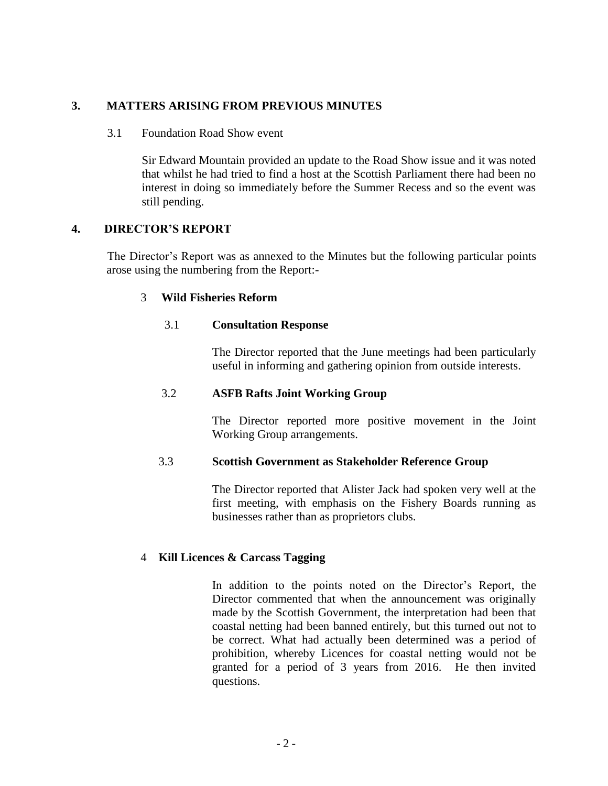# **3. MATTERS ARISING FROM PREVIOUS MINUTES**

#### 3.1 Foundation Road Show event

Sir Edward Mountain provided an update to the Road Show issue and it was noted that whilst he had tried to find a host at the Scottish Parliament there had been no interest in doing so immediately before the Summer Recess and so the event was still pending.

## **4. DIRECTOR'S REPORT**

The Director's Report was as annexed to the Minutes but the following particular points arose using the numbering from the Report:-

## 3 **Wild Fisheries Reform**

#### 3.1 **Consultation Response**

The Director reported that the June meetings had been particularly useful in informing and gathering opinion from outside interests.

## 3.2 **ASFB Rafts Joint Working Group**

The Director reported more positive movement in the Joint Working Group arrangements.

#### 3.3 **Scottish Government as Stakeholder Reference Group**

The Director reported that Alister Jack had spoken very well at the first meeting, with emphasis on the Fishery Boards running as businesses rather than as proprietors clubs.

## 4 **Kill Licences & Carcass Tagging**

In addition to the points noted on the Director's Report, the Director commented that when the announcement was originally made by the Scottish Government, the interpretation had been that coastal netting had been banned entirely, but this turned out not to be correct. What had actually been determined was a period of prohibition, whereby Licences for coastal netting would not be granted for a period of 3 years from 2016. He then invited questions.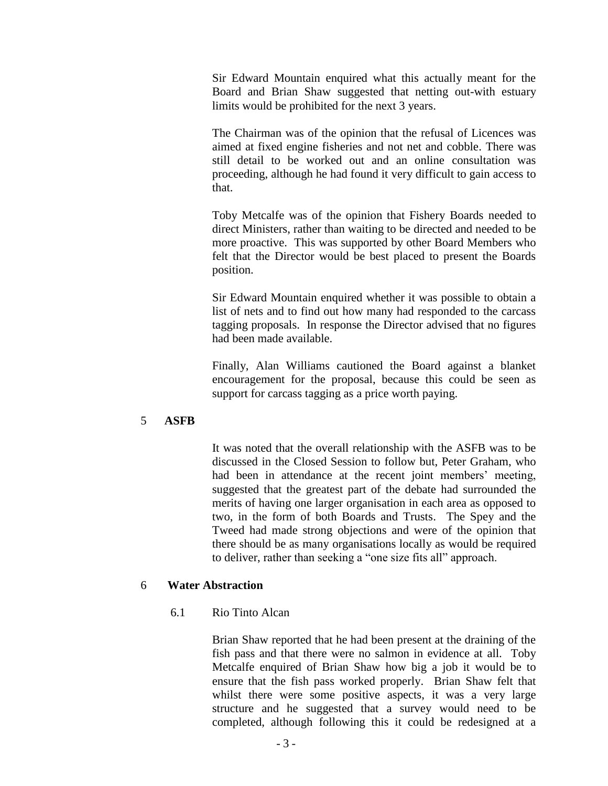Sir Edward Mountain enquired what this actually meant for the Board and Brian Shaw suggested that netting out-with estuary limits would be prohibited for the next 3 years.

The Chairman was of the opinion that the refusal of Licences was aimed at fixed engine fisheries and not net and cobble. There was still detail to be worked out and an online consultation was proceeding, although he had found it very difficult to gain access to that.

Toby Metcalfe was of the opinion that Fishery Boards needed to direct Ministers, rather than waiting to be directed and needed to be more proactive. This was supported by other Board Members who felt that the Director would be best placed to present the Boards position.

Sir Edward Mountain enquired whether it was possible to obtain a list of nets and to find out how many had responded to the carcass tagging proposals. In response the Director advised that no figures had been made available.

Finally, Alan Williams cautioned the Board against a blanket encouragement for the proposal, because this could be seen as support for carcass tagging as a price worth paying.

## 5 **ASFB**

It was noted that the overall relationship with the ASFB was to be discussed in the Closed Session to follow but, Peter Graham, who had been in attendance at the recent joint members' meeting, suggested that the greatest part of the debate had surrounded the merits of having one larger organisation in each area as opposed to two, in the form of both Boards and Trusts. The Spey and the Tweed had made strong objections and were of the opinion that there should be as many organisations locally as would be required to deliver, rather than seeking a "one size fits all" approach.

#### 6 **Water Abstraction**

6.1 Rio Tinto Alcan

Brian Shaw reported that he had been present at the draining of the fish pass and that there were no salmon in evidence at all. Toby Metcalfe enquired of Brian Shaw how big a job it would be to ensure that the fish pass worked properly. Brian Shaw felt that whilst there were some positive aspects, it was a very large structure and he suggested that a survey would need to be completed, although following this it could be redesigned at a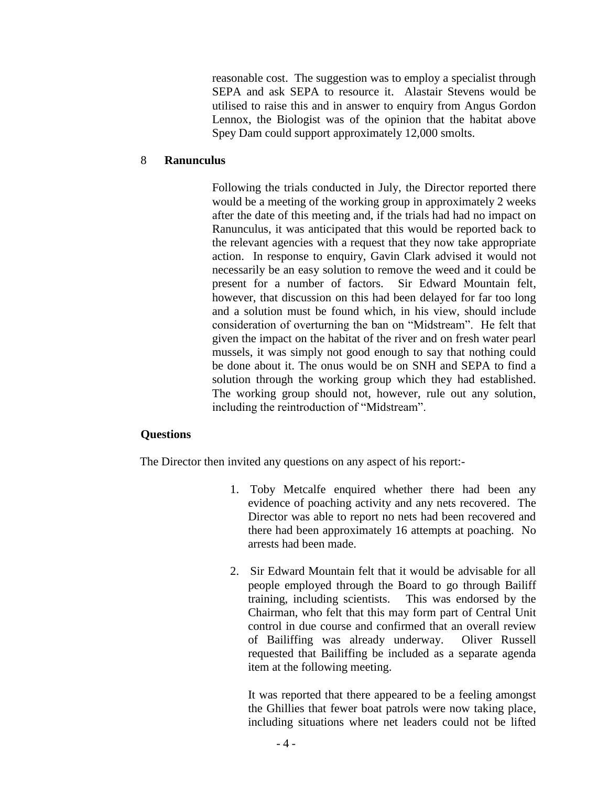reasonable cost. The suggestion was to employ a specialist through SEPA and ask SEPA to resource it. Alastair Stevens would be utilised to raise this and in answer to enquiry from Angus Gordon Lennox, the Biologist was of the opinion that the habitat above Spey Dam could support approximately 12,000 smolts.

## 8 **Ranunculus**

Following the trials conducted in July, the Director reported there would be a meeting of the working group in approximately 2 weeks after the date of this meeting and, if the trials had had no impact on Ranunculus, it was anticipated that this would be reported back to the relevant agencies with a request that they now take appropriate action. In response to enquiry, Gavin Clark advised it would not necessarily be an easy solution to remove the weed and it could be present for a number of factors. Sir Edward Mountain felt, however, that discussion on this had been delayed for far too long and a solution must be found which, in his view, should include consideration of overturning the ban on "Midstream". He felt that given the impact on the habitat of the river and on fresh water pearl mussels, it was simply not good enough to say that nothing could be done about it. The onus would be on SNH and SEPA to find a solution through the working group which they had established. The working group should not, however, rule out any solution, including the reintroduction of "Midstream".

## **Questions**

The Director then invited any questions on any aspect of his report:-

- 1. Toby Metcalfe enquired whether there had been any evidence of poaching activity and any nets recovered. The Director was able to report no nets had been recovered and there had been approximately 16 attempts at poaching. No arrests had been made.
- 2. Sir Edward Mountain felt that it would be advisable for all people employed through the Board to go through Bailiff training, including scientists. This was endorsed by the Chairman, who felt that this may form part of Central Unit control in due course and confirmed that an overall review of Bailiffing was already underway. Oliver Russell requested that Bailiffing be included as a separate agenda item at the following meeting.

It was reported that there appeared to be a feeling amongst the Ghillies that fewer boat patrols were now taking place, including situations where net leaders could not be lifted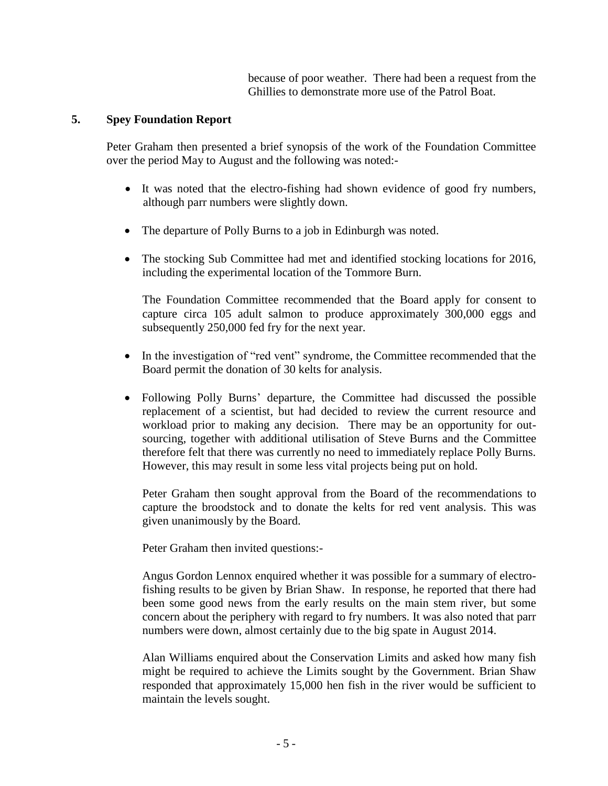because of poor weather. There had been a request from the Ghillies to demonstrate more use of the Patrol Boat.

# **5. Spey Foundation Report**

Peter Graham then presented a brief synopsis of the work of the Foundation Committee over the period May to August and the following was noted:-

- It was noted that the electro-fishing had shown evidence of good fry numbers, although parr numbers were slightly down.
- The departure of Polly Burns to a job in Edinburgh was noted.
- The stocking Sub Committee had met and identified stocking locations for 2016, including the experimental location of the Tommore Burn.

The Foundation Committee recommended that the Board apply for consent to capture circa 105 adult salmon to produce approximately 300,000 eggs and subsequently 250,000 fed fry for the next year.

- In the investigation of "red vent" syndrome, the Committee recommended that the Board permit the donation of 30 kelts for analysis.
- Following Polly Burns' departure, the Committee had discussed the possible replacement of a scientist, but had decided to review the current resource and workload prior to making any decision. There may be an opportunity for outsourcing, together with additional utilisation of Steve Burns and the Committee therefore felt that there was currently no need to immediately replace Polly Burns. However, this may result in some less vital projects being put on hold.

Peter Graham then sought approval from the Board of the recommendations to capture the broodstock and to donate the kelts for red vent analysis. This was given unanimously by the Board.

Peter Graham then invited questions:-

Angus Gordon Lennox enquired whether it was possible for a summary of electrofishing results to be given by Brian Shaw. In response, he reported that there had been some good news from the early results on the main stem river, but some concern about the periphery with regard to fry numbers. It was also noted that parr numbers were down, almost certainly due to the big spate in August 2014.

Alan Williams enquired about the Conservation Limits and asked how many fish might be required to achieve the Limits sought by the Government. Brian Shaw responded that approximately 15,000 hen fish in the river would be sufficient to maintain the levels sought.